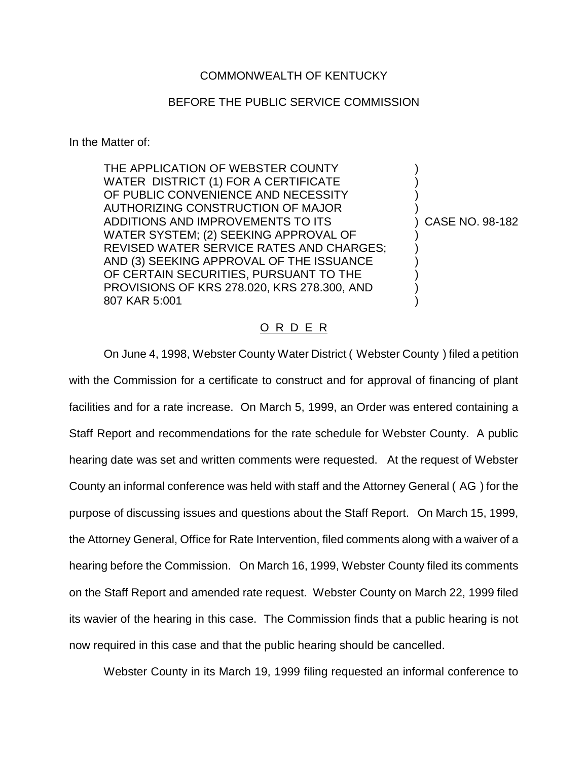## COMMONWEALTH OF KENTUCKY

## BEFORE THE PUBLIC SERVICE COMMISSION

In the Matter of:

THE APPLICATION OF WEBSTER COUNTY WATER DISTRICT (1) FOR A CERTIFICATE OF PUBLIC CONVENIENCE AND NECESSITY AUTHORIZING CONSTRUCTION OF MAJOR ) ADDITIONS AND IMPROVEMENTS TO ITS (ADDITIONS AND IMPROVEMENTS TO ITS WATER SYSTEM; (2) SEEKING APPROVAL OF ) REVISED WATER SERVICE RATES AND CHARGES; AND (3) SEEKING APPROVAL OF THE ISSUANCE ) OF CERTAIN SECURITIES, PURSUANT TO THE PROVISIONS OF KRS 278.020, KRS 278.300, AND ) 807 KAR 5:001 )

## O R D E R

On June 4, 1998, Webster County Water District ( Webster County ) filed a petition with the Commission for a certificate to construct and for approval of financing of plant facilities and for a rate increase. On March 5, 1999, an Order was entered containing a Staff Report and recommendations for the rate schedule for Webster County. A public hearing date was set and written comments were requested. At the request of Webster County an informal conference was held with staff and the Attorney General ( AG ) for the purpose of discussing issues and questions about the Staff Report. On March 15, 1999, the Attorney General, Office for Rate Intervention, filed comments along with a waiver of a hearing before the Commission. On March 16, 1999, Webster County filed its comments on the Staff Report and amended rate request. Webster County on March 22, 1999 filed its wavier of the hearing in this case. The Commission finds that a public hearing is not now required in this case and that the public hearing should be cancelled.

Webster County in its March 19, 1999 filing requested an informal conference to